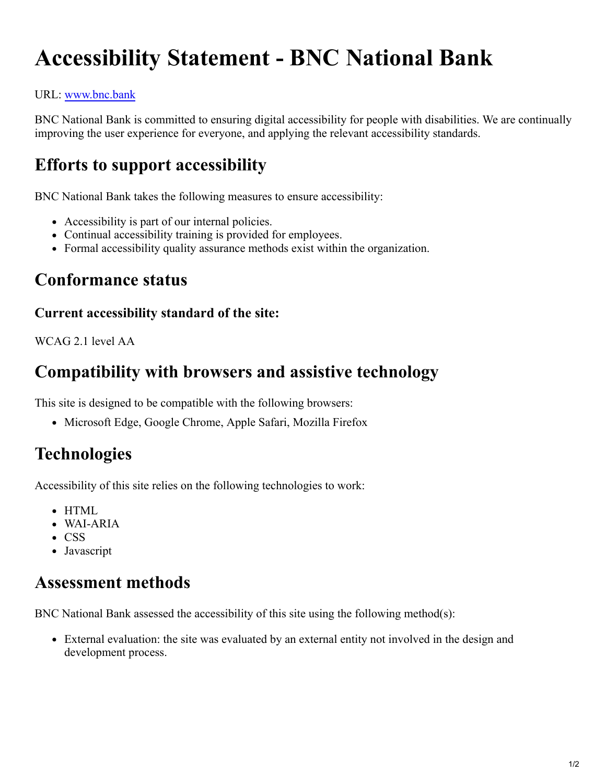# **Accessibility Statement - BNC National Bank**

#### URL: [www.bnc.bank](file:///C:/Users/gtrom/Downloads/www.bnc.bank)

BNC National Bank is committed to ensuring digital accessibility for people with disabilities. We are continually improving the user experience for everyone, and applying the relevant accessibility standards.

### **Efforts to support accessibility**

BNC National Bank takes the following measures to ensure accessibility:

- Accessibility is part of our internal policies.
- Continual accessibility training is provided for employees.
- Formal accessibility quality assurance methods exist within the organization.

#### **Conformance status**

#### **Current accessibility standard of the site:**

WCAG 2.1 level AA

#### **Compatibility with browsers and assistive technology**

This site is designed to be compatible with the following browsers:

• Microsoft Edge, Google Chrome, Apple Safari, Mozilla Firefox

## **Technologies**

Accessibility of this site relies on the following technologies to work:

- HTML
- WAI-ARIA
- CSS
- Javascript

#### **Assessment methods**

BNC National Bank assessed the accessibility of this site using the following method(s):

External evaluation: the site was evaluated by an external entity not involved in the design and development process.